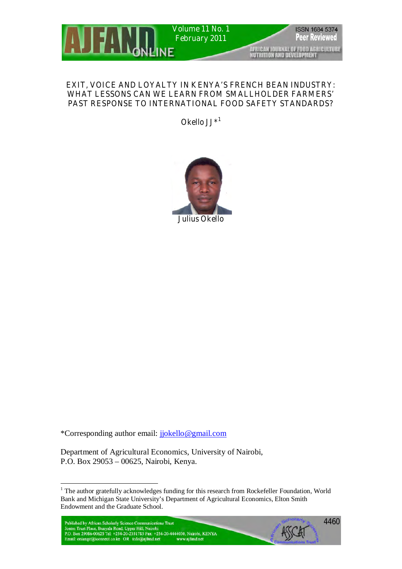

## **EXIT, VOICE AND LOYALTY IN KENYA'S FRENCH BEAN INDUSTRY: WHAT LESSONS CAN WE LEARN FROM SMALLHOLDER FARMERS' PAST RESPONSE TO INTERNATIONAL FOOD SAFETY STANDARDS?**

**Okello JJ\*<sup>1</sup>** 



**Julius Okello** 

\*Corresponding author email: jjokello@gmail.com

Department of Agricultural Economics, University of Nairobi, P.O. Box 29053 – 00625, Nairobi, Kenya.

Published by African Scholarly Science Communications Trust<br>Josem Trust Place, Bunyala Road, Upper Hill, Natrobi<br>P.O. Box 29086-00625 Tel: +254-20-2351785 Fax: +254-20-4444030, Natrobi, KENYA Email: oniango@iconnect.co.ke OR info@ajfand.net www.ajfand.net



 $\overline{a}$ <sup>1</sup> The author gratefully acknowledges funding for this research from Rockefeller Foundation, World Bank and Michigan State University's Department of Agricultural Economics, Elton Smith Endowment and the Graduate School.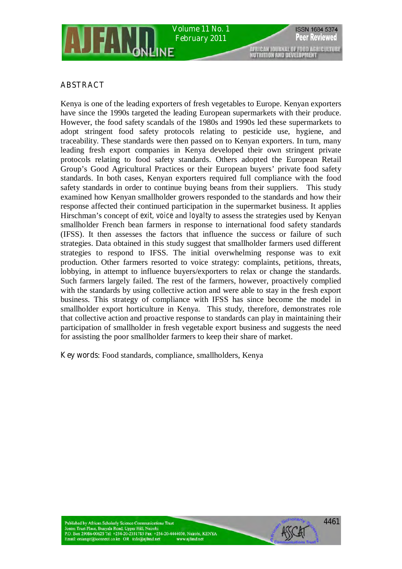

### **ABSTRACT**

Kenya is one of the leading exporters of fresh vegetables to Europe. Kenyan exporters have since the 1990s targeted the leading European supermarkets with their produce. However, the food safety scandals of the 1980s and 1990s led these supermarkets to adopt stringent food safety protocols relating to pesticide use, hygiene, and traceability. These standards were then passed on to Kenyan exporters. In turn, many leading fresh export companies in Kenya developed their own stringent private protocols relating to food safety standards. Others adopted the European Retail Group's Good Agricultural Practices or their European buyers' private food safety standards. In both cases, Kenyan exporters required full compliance with the food safety standards in order to continue buying beans from their suppliers. This study examined how Kenyan smallholder growers responded to the standards and how their response affected their continued participation in the supermarket business. It applies Hirschman's concept of *exit, voice* and *loyalty* to assess the strategies used by Kenyan smallholder French bean farmers in response to international food safety standards (IFSS). It then assesses the factors that influence the success or failure of such strategies. Data obtained in this study suggest that smallholder farmers used different strategies to respond to IFSS. The initial overwhelming response was to exit production. Other farmers resorted to voice strategy: complaints, petitions, threats, lobbying, in attempt to influence buyers/exporters to relax or change the standards. Such farmers largely failed. The rest of the farmers, however, proactively complied with the standards by using collective action and were able to stay in the fresh export business. This strategy of compliance with IFSS has since become the model in smallholder export horticulture in Kenya. This study, therefore, demonstrates role that collective action and proactive response to standards can play in maintaining their participation of smallholder in fresh vegetable export business and suggests the need for assisting the poor smallholder farmers to keep their share of market.

**Key words**: Food standards, compliance, smallholders, Kenya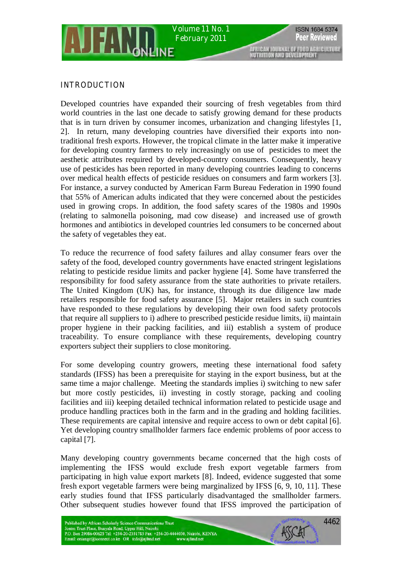

### **INTRODUCTION**

Developed countries have expanded their sourcing of fresh vegetables from third world countries in the last one decade to satisfy growing demand for these products that is in turn driven by consumer incomes, urbanization and changing lifestyles [1, 2]. In return, many developing countries have diversified their exports into nontraditional fresh exports. However, the tropical climate in the latter make it imperative for developing country farmers to rely increasingly on use of pesticides to meet the aesthetic attributes required by developed-country consumers. Consequently, heavy use of pesticides has been reported in many developing countries leading to concerns over medical health effects of pesticide residues on consumers and farm workers [3]. For instance, a survey conducted by American Farm Bureau Federation in 1990 found that 55% of American adults indicated that they were concerned about the pesticides used in growing crops. In addition, the food safety scares of the 1980s and 1990s (relating to salmonella poisoning, mad cow disease) and increased use of growth hormones and antibiotics in developed countries led consumers to be concerned about the safety of vegetables they eat.

To reduce the recurrence of food safety failures and allay consumer fears over the safety of the food, developed country governments have enacted stringent legislations relating to pesticide residue limits and packer hygiene [4]. Some have transferred the responsibility for food safety assurance from the state authorities to private retailers. The United Kingdom (UK) has, for instance, through its due diligence law made retailers responsible for food safety assurance [5]. Major retailers in such countries have responded to these regulations by developing their own food safety protocols that require all suppliers to i) adhere to prescribed pesticide residue limits, ii) maintain proper hygiene in their packing facilities, and iii) establish a system of produce traceability. To ensure compliance with these requirements, developing country exporters subject their suppliers to close monitoring.

For some developing country growers, meeting these international food safety standards (IFSS) has been a prerequisite for staying in the export business, but at the same time a major challenge. Meeting the standards implies i) switching to new safer but more costly pesticides, ii) investing in costly storage, packing and cooling facilities and iii) keeping detailed technical information related to pesticide usage and produce handling practices both in the farm and in the grading and holding facilities. These requirements are capital intensive and require access to own or debt capital [6]. Yet developing country smallholder farmers face endemic problems of poor access to capital [7].

Many developing country governments became concerned that the high costs of implementing the IFSS would exclude fresh export vegetable farmers from participating in high value export markets [8]. Indeed, evidence suggested that some fresh export vegetable farmers were being marginalized by IFSS [6, 9, 10, 11]. These early studies found that IFSS particularly disadvantaged the smallholder farmers. Other subsequent studies however found that IFSS improved the participation of

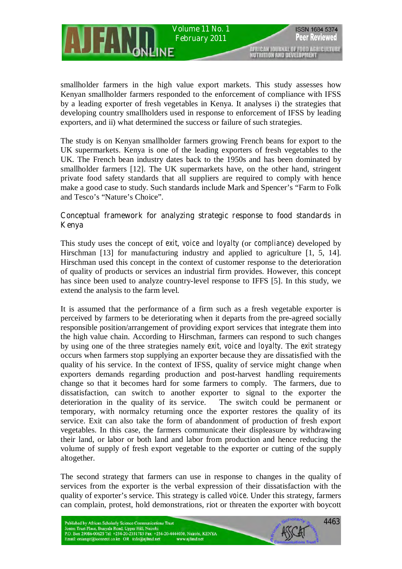

smallholder farmers in the high value export markets. This study assesses how Kenyan smallholder farmers responded to the enforcement of compliance with IFSS by a leading exporter of fresh vegetables in Kenya. It analyses i) the strategies that developing country smallholders used in response to enforcement of IFSS by leading exporters, and ii) what determined the success or failure of such strategies.

The study is on Kenyan smallholder farmers growing French beans for export to the UK supermarkets. Kenya is one of the leading exporters of fresh vegetables to the UK. The French bean industry dates back to the 1950s and has been dominated by smallholder farmers [12]. The UK supermarkets have, on the other hand, stringent private food safety standards that all suppliers are required to comply with hence make a good case to study. Such standards include Mark and Spencer's "Farm to Folk and Tesco's "Nature's Choice".

## **Conceptual framework for analyzing strategic response to food standards in Kenya**

This study uses the concept of *exit*, *voice* and *loyalty* (or *compliance*) developed by Hirschman [13] for manufacturing industry and applied to agriculture [1, 5, 14]. Hirschman used this concept in the context of customer response to the deterioration of quality of products or services an industrial firm provides. However, this concept has since been used to analyze country-level response to IFFS [5]. In this study, we extend the analysis to the farm level.

It is assumed that the performance of a firm such as a fresh vegetable exporter is perceived by farmers to be deteriorating when it departs from the pre-agreed socially responsible position/arrangement of providing export services that integrate them into the high value chain. According to Hirschman, farmers can respond to such changes by using one of the three strategies namely *exit, voice* and *loyalty*. The *exit* strategy occurs when farmers stop supplying an exporter because they are dissatisfied with the quality of his service. In the context of IFSS, quality of service might change when exporters demands regarding production and post-harvest handling requirements change so that it becomes hard for some farmers to comply. The farmers, due to dissatisfaction, can switch to another exporter to signal to the exporter the deterioration in the quality of its service. The switch could be permanent or temporary, with normalcy returning once the exporter restores the quality of its service. Exit can also take the form of abandonment of production of fresh export vegetables. In this case, the farmers communicate their displeasure by withdrawing their land, or labor or both land and labor from production and hence reducing the volume of supply of fresh export vegetable to the exporter or cutting of the supply altogether.

The second strategy that farmers can use in response to changes in the quality of services from the exporter is the verbal expression of their dissatisfaction with the quality of exporter's service. This strategy is called *voice*. Under this strategy, farmers can complain, protest, hold demonstrations, riot or threaten the exporter with boycott

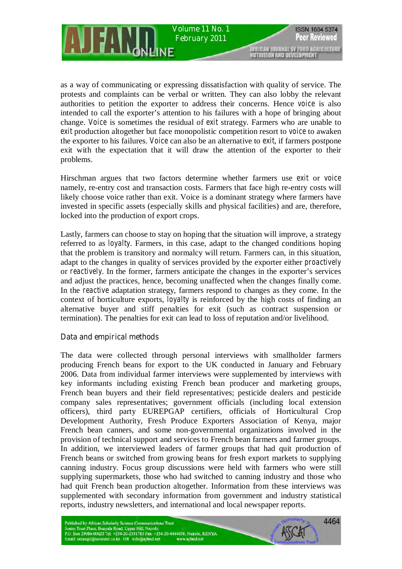as a way of communicating or expressing dissatisfaction with quality of service. The protests and complaints can be verbal or written. They can also lobby the relevant authorities to petition the exporter to address their concerns. Hence *voice* is also intended to call the exporter's attention to his failures with a hope of bringing about change. *Voice* is sometimes the residual of *exit* strategy. Farmers who are unable to *exit* production altogether but face monopolistic competition resort to *voice* to awaken the exporter to his failures. *Voice* can also be an alternative to *exit*, if farmers postpone exit with the expectation that it will draw the attention of the exporter to their problems.

Hirschman argues that two factors determine whether farmers use *exit* or *voice* namely, re-entry cost and transaction costs. Farmers that face high re-entry costs will likely choose voice rather than exit. Voice is a dominant strategy where farmers have invested in specific assets (especially skills and physical facilities) and are, therefore, locked into the production of export crops.

Lastly, farmers can choose to stay on hoping that the situation will improve, a strategy referred to as *loyalty*. Farmers, in this case, adapt to the changed conditions hoping that the problem is transitory and normalcy will return. Farmers can, in this situation, adapt to the changes in quality of services provided by the exporter either *proactively* or *reactively*. In the former, farmers anticipate the changes in the exporter's services and adjust the practices, hence, becoming unaffected when the changes finally come. In the *reactive* adaptation strategy, farmers respond to changes as they come. In the context of horticulture exports, *loyalty* is reinforced by the high costs of finding an alternative buyer and stiff penalties for exit (such as contract suspension or termination). The penalties for exit can lead to loss of reputation and/or livelihood.

#### **Data and empirical methods**

The data were collected through personal interviews with smallholder farmers producing French beans for export to the UK conducted in January and February 2006. Data from individual farmer interviews were supplemented by interviews with key informants including existing French bean producer and marketing groups, French bean buyers and their field representatives; pesticide dealers and pesticide company sales representatives; government officials (including local extension officers), third party EUREPGAP certifiers, officials of Horticultural Crop Development Authority, Fresh Produce Exporters Association of Kenya, major French bean canners, and some non-governmental organizations involved in the provision of technical support and services to French bean farmers and farmer groups. In addition, we interviewed leaders of farmer groups that had quit production of French beans or switched from growing beans for fresh export markets to supplying canning industry. Focus group discussions were held with farmers who were still supplying supermarkets, those who had switched to canning industry and those who had quit French bean production altogether. Information from these interviews was supplemented with secondary information from government and industry statistical reports, industry newsletters, and international and local newspaper reports.

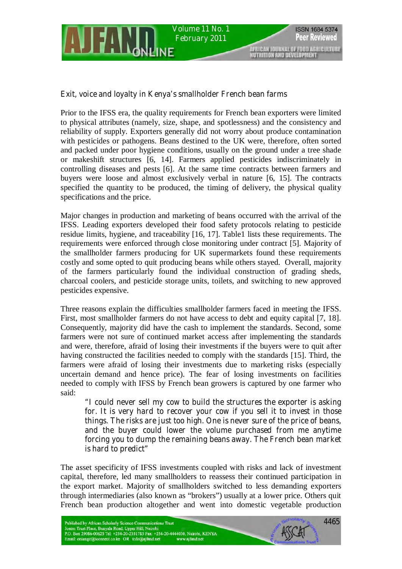

# **Exit, voice and loyalty in Kenya's smallholder French bean farms**

Prior to the IFSS era, the quality requirements for French bean exporters were limited to physical attributes (namely, size, shape, and spotlessness) and the consistency and reliability of supply. Exporters generally did not worry about produce contamination with pesticides or pathogens. Beans destined to the UK were, therefore, often sorted and packed under poor hygiene conditions, usually on the ground under a tree shade or makeshift structures [6, 14]. Farmers applied pesticides indiscriminately in controlling diseases and pests [6]. At the same time contracts between farmers and buyers were loose and almost exclusively verbal in nature [6, 15]. The contracts specified the quantity to be produced, the timing of delivery, the physical quality specifications and the price.

Major changes in production and marketing of beans occurred with the arrival of the IFSS. Leading exporters developed their food safety protocols relating to pesticide residue limits, hygiene, and traceability [16, 17]. Table1 lists these requirements. The requirements were enforced through close monitoring under contract [5]. Majority of the smallholder farmers producing for UK supermarkets found these requirements costly and some opted to quit producing beans while others stayed. Overall, majority of the farmers particularly found the individual construction of grading sheds, charcoal coolers, and pesticide storage units, toilets, and switching to new approved pesticides expensive.

Three reasons explain the difficulties smallholder farmers faced in meeting the IFSS. First, most smallholder farmers do not have access to debt and equity capital [7, 18]. Consequently, majority did have the cash to implement the standards. Second, some farmers were not sure of continued market access after implementing the standards and were, therefore, afraid of losing their investments if the buyers were to quit after having constructed the facilities needed to comply with the standards [15]. Third, the farmers were afraid of losing their investments due to marketing risks (especially uncertain demand and hence price). The fear of losing investments on facilities needed to comply with IFSS by French bean growers is captured by one farmer who said:

**"I could never sell my cow to build the structures the exporter is asking for. It is very hard to recover your cow if you sell it to invest in those things. The risks are just too high. One is never sure of the price of beans, and the buyer could lower the volume purchased from me anytime forcing you to dump the remaining beans away. The French bean market is hard to predict"** 

The asset specificity of IFSS investments coupled with risks and lack of investment capital, therefore, led many smallholders to reassess their continued participation in the export market. Majority of smallholders switched to less demanding exporters through intermediaries (also known as "brokers") usually at a lower price. Others quit French bean production altogether and went into domestic vegetable production

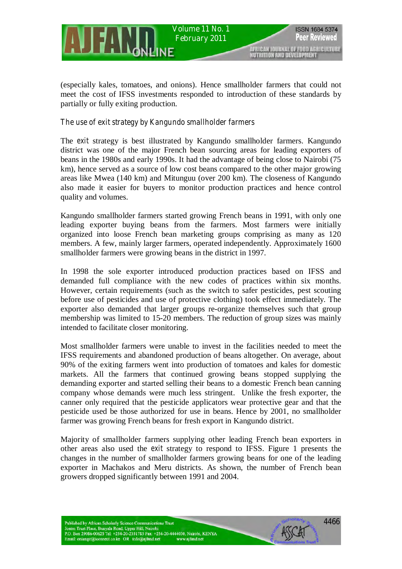

(especially kales, tomatoes, and onions). Hence smallholder farmers that could not meet the cost of IFSS investments responded to introduction of these standards by partially or fully exiting production.

### *The use of exit strategy by Kangundo smallholder farmers*

The *exit* strategy is best illustrated by Kangundo smallholder farmers. Kangundo district was one of the major French bean sourcing areas for leading exporters of beans in the 1980s and early 1990s. It had the advantage of being close to Nairobi (75 km), hence served as a source of low cost beans compared to the other major growing areas like Mwea (140 km) and Mitunguu (over 200 km). The closeness of Kangundo also made it easier for buyers to monitor production practices and hence control quality and volumes.

Kangundo smallholder farmers started growing French beans in 1991, with only one leading exporter buying beans from the farmers. Most farmers were initially organized into loose French bean marketing groups comprising as many as 120 members. A few, mainly larger farmers, operated independently. Approximately 1600 smallholder farmers were growing beans in the district in 1997.

In 1998 the sole exporter introduced production practices based on IFSS and demanded full compliance with the new codes of practices within six months. However, certain requirements (such as the switch to safer pesticides, pest scouting before use of pesticides and use of protective clothing) took effect immediately. The exporter also demanded that larger groups re-organize themselves such that group membership was limited to 15-20 members. The reduction of group sizes was mainly intended to facilitate closer monitoring.

Most smallholder farmers were unable to invest in the facilities needed to meet the IFSS requirements and abandoned production of beans altogether. On average, about 90% of the exiting farmers went into production of tomatoes and kales for domestic markets. All the farmers that continued growing beans stopped supplying the demanding exporter and started selling their beans to a domestic French bean canning company whose demands were much less stringent. Unlike the fresh exporter, the canner only required that the pesticide applicators wear protective gear and that the pesticide used be those authorized for use in beans. Hence by 2001, no smallholder farmer was growing French beans for fresh export in Kangundo district.

Majority of smallholder farmers supplying other leading French bean exporters in other areas also used the *exit* strategy to respond to IFSS. Figure 1 presents the changes in the number of smallholder farmers growing beans for one of the leading exporter in Machakos and Meru districts. As shown, the number of French bean growers dropped significantly between 1991 and 2004.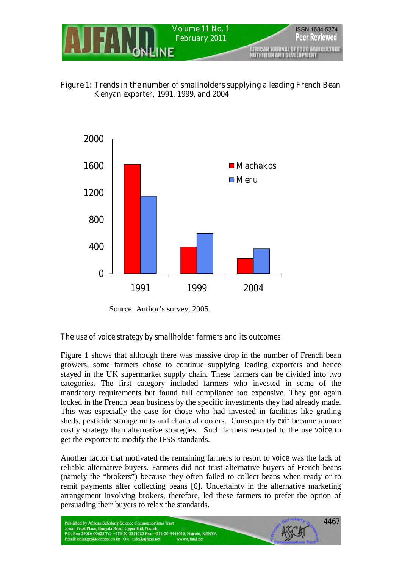

# **Figure 1: Trends in the number of smallholders supplying a leading French Bean Kenyan exporter, 1991, 1999, and 2004**



Source: Author's survey, 2005.

# *The use of voice strategy by smallholder farmers and its outcomes*

Figure 1 shows that although there was massive drop in the number of French bean growers, some farmers chose to continue supplying leading exporters and hence stayed in the UK supermarket supply chain. These farmers can be divided into two categories. The first category included farmers who invested in some of the mandatory requirements but found full compliance too expensive. They got again locked in the French bean business by the specific investments they had already made. This was especially the case for those who had invested in facilities like grading sheds, pesticide storage units and charcoal coolers. Consequently *exit* became a more costly strategy than alternative strategies. Such farmers resorted to the use *voice* to get the exporter to modify the IFSS standards.

Another factor that motivated the remaining farmers to resort to *voice* was the lack of reliable alternative buyers. Farmers did not trust alternative buyers of French beans (namely the "brokers") because they often failed to collect beans when ready or to remit payments after collecting beans [6]. Uncertainty in the alternative marketing arrangement involving brokers, therefore, led these farmers to prefer the option of persuading their buyers to relax the standards.

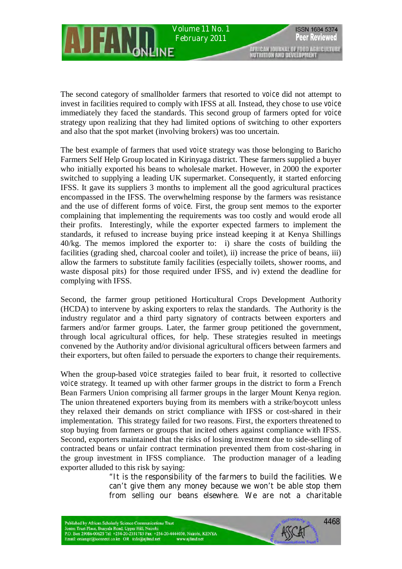

The second category of smallholder farmers that resorted to *voice* did not attempt to invest in facilities required to comply with IFSS at all. Instead, they chose to use *voice* immediately they faced the standards. This second group of farmers opted for *voice* strategy upon realizing that they had limited options of switching to other exporters and also that the spot market (involving brokers) was too uncertain.

The best example of farmers that used *voice* strategy was those belonging to Baricho Farmers Self Help Group located in Kirinyaga district. These farmers supplied a buyer who initially exported his beans to wholesale market. However, in 2000 the exporter switched to supplying a leading UK supermarket. Consequently, it started enforcing IFSS. It gave its suppliers 3 months to implement all the good agricultural practices encompassed in the IFSS. The overwhelming response by the farmers was resistance and the use of different forms of *voice*. First, the group sent memos to the exporter complaining that implementing the requirements was too costly and would erode all their profits. Interestingly, while the exporter expected farmers to implement the standards, it refused to increase buying price instead keeping it at Kenya Shillings 40/kg. The memos implored the exporter to: i) share the costs of building the facilities (grading shed, charcoal cooler and toilet), ii) increase the price of beans, iii) allow the farmers to substitute family facilities (especially toilets, shower rooms, and waste disposal pits) for those required under IFSS, and iv) extend the deadline for complying with IFSS.

Second, the farmer group petitioned Horticultural Crops Development Authority (HCDA) to intervene by asking exporters to relax the standards. The Authority is the industry regulator and a third party signatory of contracts between exporters and farmers and/or farmer groups. Later, the farmer group petitioned the government, through local agricultural offices, for help. These strategies resulted in meetings convened by the Authority and/or divisional agricultural officers between farmers and their exporters, but often failed to persuade the exporters to change their requirements.

When the group-based *voice* strategies failed to bear fruit, it resorted to collective *voice* strategy. It teamed up with other farmer groups in the district to form a French Bean Farmers Union comprising all farmer groups in the larger Mount Kenya region. The union threatened exporters buying from its members with a strike/boycott unless they relaxed their demands on strict compliance with IFSS or cost-shared in their implementation. This strategy failed for two reasons. First, the exporters threatened to stop buying from farmers or groups that incited others against compliance with IFSS. Second, exporters maintained that the risks of losing investment due to side-selling of contracted beans or unfair contract termination prevented them from cost-sharing in the group investment in IFSS compliance. The production manager of a leading exporter alluded to this risk by saying:

> **"It is the responsibility of the farmers to build the facilities. We can't give them any money because we won't be able stop them from selling our beans elsewhere. We are not a charitable**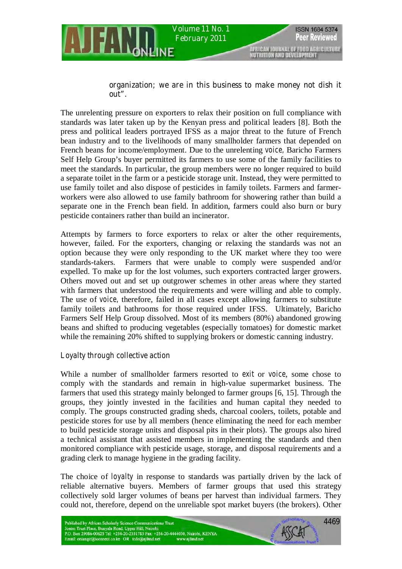

## **organization; we are in this business to make money not dish it out".**

The unrelenting pressure on exporters to relax their position on full compliance with standards was later taken up by the Kenyan press and political leaders [8]. Both the press and political leaders portrayed IFSS as a major threat to the future of French bean industry and to the livelihoods of many smallholder farmers that depended on French beans for income/employment. Due to the unrelenting *voice,* Baricho Farmers Self Help Group's buyer permitted its farmers to use some of the family facilities to meet the standards. In particular, the group members were no longer required to build a separate toilet in the farm or a pesticide storage unit. Instead, they were permitted to use family toilet and also dispose of pesticides in family toilets. Farmers and farmerworkers were also allowed to use family bathroom for showering rather than build a separate one in the French bean field. In addition, farmers could also burn or bury pesticide containers rather than build an incinerator.

Attempts by farmers to force exporters to relax or alter the other requirements, however, failed. For the exporters, changing or relaxing the standards was not an option because they were only responding to the UK market where they too were standards-takers. Farmers that were unable to comply were suspended and/or expelled. To make up for the lost volumes, such exporters contracted larger growers. Others moved out and set up outgrower schemes in other areas where they started with farmers that understood the requirements and were willing and able to comply. The use of *voice,* therefore, failed in all cases except allowing farmers to substitute family toilets and bathrooms for those required under IFSS. Ultimately, Baricho Farmers Self Help Group dissolved. Most of its members (80%) abandoned growing beans and shifted to producing vegetables (especially tomatoes) for domestic market while the remaining 20% shifted to supplying brokers or domestic canning industry.

# *Loyalty through collective action*

While a number of smallholder farmers resorted to *exit* or *voice*, some chose to comply with the standards and remain in high-value supermarket business. The farmers that used this strategy mainly belonged to farmer groups [6, 15]. Through the groups, they jointly invested in the facilities and human capital they needed to comply. The groups constructed grading sheds, charcoal coolers, toilets, potable and pesticide stores for use by all members (hence eliminating the need for each member to build pesticide storage units and disposal pits in their plots). The groups also hired a technical assistant that assisted members in implementing the standards and then monitored compliance with pesticide usage, storage, and disposal requirements and a grading clerk to manage hygiene in the grading facility.

The choice of *loyalty* in response to standards was partially driven by the lack of reliable alternative buyers. Members of farmer groups that used this strategy collectively sold larger volumes of beans per harvest than individual farmers. They could not, therefore, depend on the unreliable spot market buyers (the brokers). Other

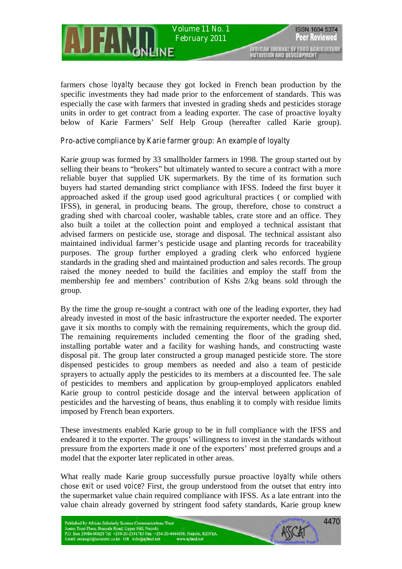

farmers chose *loyalty* because they got locked in French bean production by the specific investments they had made prior to the enforcement of standards. This was especially the case with farmers that invested in grading sheds and pesticides storage units in order to get contract from a leading exporter. The case of proactive loyalty below of Karie Farmers' Self Help Group (hereafter called Karie group).

## *Pro-active compliance by Karie farmer group: An example of loyalty*

Karie group was formed by 33 smallholder farmers in 1998. The group started out by selling their beans to "brokers" but ultimately wanted to secure a contract with a more reliable buyer that supplied UK supermarkets. By the time of its formation such buyers had started demanding strict compliance with IFSS. Indeed the first buyer it approached asked if the group used good agricultural practices ( or complied with IFSS), in general, in producing beans. The group, therefore, chose to construct a grading shed with charcoal cooler, washable tables, crate store and an office. They also built a toilet at the collection point and employed a technical assistant that advised farmers on pesticide use, storage and disposal. The technical assistant also maintained individual farmer's pesticide usage and planting records for traceability purposes. The group further employed a grading clerk who enforced hygiene standards in the grading shed and maintained production and sales records. The group raised the money needed to build the facilities and employ the staff from the membership fee and members' contribution of Kshs 2/kg beans sold through the group.

By the time the group re-sought a contract with one of the leading exporter, they had already invested in most of the basic infrastructure the exporter needed. The exporter gave it six months to comply with the remaining requirements, which the group did. The remaining requirements included cementing the floor of the grading shed, installing portable water and a facility for washing hands, and constructing waste disposal pit. The group later constructed a group managed pesticide store. The store dispensed pesticides to group members as needed and also a team of pesticide sprayers to actually apply the pesticides to its members at a discounted fee. The sale of pesticides to members and application by group-employed applicators enabled Karie group to control pesticide dosage and the interval between application of pesticides and the harvesting of beans, thus enabling it to comply with residue limits imposed by French bean exporters.

These investments enabled Karie group to be in full compliance with the IFSS and endeared it to the exporter. The groups' willingness to invest in the standards without pressure from the exporters made it one of the exporters' most preferred groups and a model that the exporter later replicated in other areas.

What really made Karie group successfully pursue proactive *loyalty* while others chose *exit* or used *voice*? First, the group understood from the outset that entry into the supermarket value chain required compliance with IFSS. As a late entrant into the value chain already governed by stringent food safety standards, Karie group knew

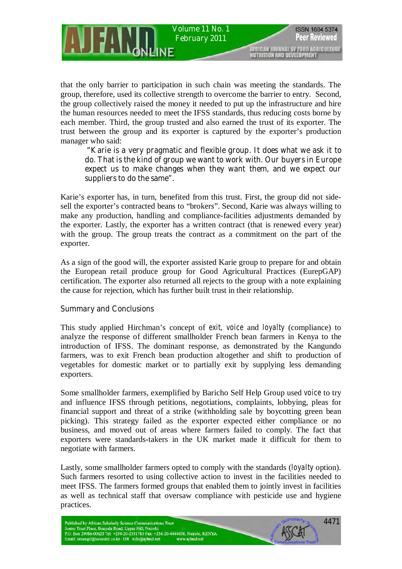**ISSN 1684 5374 Peer Reviewed** 

.<br>African Journal of Food Agriculture<br>Nutrition and Development

that the only barrier to participation in such chain was meeting the standards. The group, therefore, used its collective strength to overcome the barrier to entry. Second, the group collectively raised the money it needed to put up the infrastructure and hire the human resources needed to meet the IFSS standards, thus reducing costs borne by each member. Third, the group trusted and also earned the trust of its exporter. The trust between the group and its exporter is captured by the exporter's production manager who said:

 **"Karie is a very pragmatic and flexible group. It does what we ask it to do. That is the kind of group we want to work with. Our buyers in Europe expect us to make changes when they want them, and we expect our suppliers to do the same".** 

Karie's exporter has, in turn, benefited from this trust. First, the group did not sidesell the exporter's contracted beans to "brokers". Second, Karie was always willing to make any production, handling and compliance-facilities adjustments demanded by the exporter. Lastly, the exporter has a written contract (that is renewed every year) with the group. The group treats the contract as a commitment on the part of the exporter.

As a sign of the good will, the exporter assisted Karie group to prepare for and obtain the European retail produce group for Good Agricultural Practices (EurepGAP) certification. The exporter also returned all rejects to the group with a note explaining the cause for rejection, which has further built trust in their relationship.

#### **Summary and Conclusions**

This study applied Hirchman's concept of *exit, voice* and *loyalty* (compliance) to analyze the response of different smallholder French bean farmers in Kenya to the introduction of IFSS. The dominant response, as demonstrated by the Kangundo farmers, was to exit French bean production altogether and shift to production of vegetables for domestic market or to partially exit by supplying less demanding exporters.

Some smallholder farmers, exemplified by Baricho Self Help Group used *voice* to try and influence IFSS through petitions, negotiations, complaints, lobbying, pleas for financial support and threat of a strike (withholding sale by boycotting green bean picking). This strategy failed as the exporter expected either compliance or no business, and moved out of areas where farmers failed to comply. The fact that exporters were standards-takers in the UK market made it difficult for them to negotiate with farmers.

Lastly, some smallholder farmers opted to comply with the standards (*loyalty* option). Such farmers resorted to using collective action to invest in the facilities needed to meet IFSS. The farmers formed groups that enabled them to jointly invest in facilities as well as technical staff that oversaw compliance with pesticide use and hygiene practices.

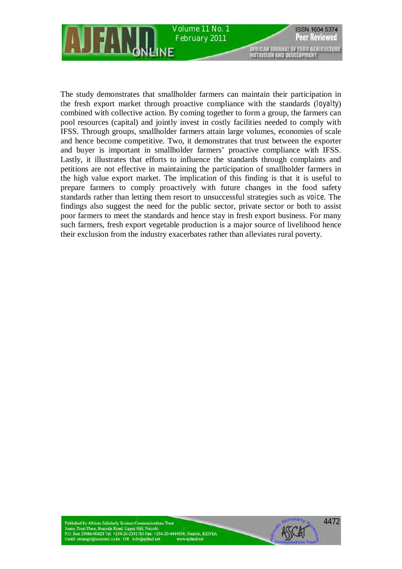

The study demonstrates that smallholder farmers can maintain their participation in the fresh export market through proactive compliance with the standards (*loyalty*) combined with collective action. By coming together to form a group, the farmers can pool resources (capital) and jointly invest in costly facilities needed to comply with IFSS. Through groups, smallholder farmers attain large volumes, economies of scale and hence become competitive. Two, it demonstrates that trust between the exporter and buyer is important in smallholder farmers' proactive compliance with IFSS. Lastly, it illustrates that efforts to influence the standards through complaints and petitions are not effective in maintaining the participation of smallholder farmers in the high value export market. The implication of this finding is that it is useful to prepare farmers to comply proactively with future changes in the food safety standards rather than letting them resort to unsuccessful strategies such as *voice*. The findings also suggest the need for the public sector, private sector or both to assist poor farmers to meet the standards and hence stay in fresh export business. For many such farmers, fresh export vegetable production is a major source of livelihood hence their exclusion from the industry exacerbates rather than alleviates rural poverty.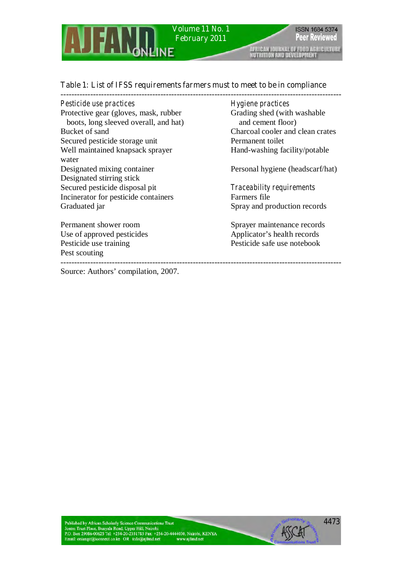

#### **Table 1: List of IFSS requirements farmers must to meet to be in compliance**

--------------------------------------------------------------------------------------------------------

-------------------------------------------------------------------------------------------------------- *Pesticide use practices Hygiene practices*  Protective gear (gloves, mask, rubber Grading shed (with washable boots, long sleeved overall, and hat) and cement floor) Bucket of sand Charcoal cooler and clean crates Secured pesticide storage unit Permanent toilet Well maintained knapsack sprayer Hand-washing facility/potable water Designated mixing container Personal hygiene (headscarf/hat) Designated stirring stick Secured pesticide disposal pit *Traceability requirements*  Incinerator for pesticide containers Farmers file Graduated jar Spray and production records

Pest scouting

Source: Authors' compilation, 2007.

Permanent shower room Sprayer maintenance records Use of approved pesticides Applicator's health records Pesticide use training Pesticide safe use notebook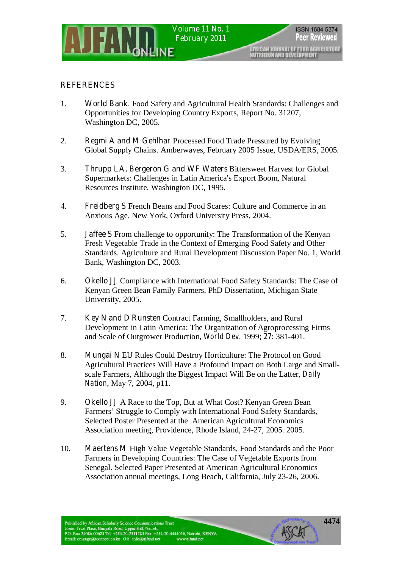### **REFERENCES**

- 1. **World Bank.** Food Safety and Agricultural Health Standards: Challenges and Opportunities for Developing Country Exports, Report No. 31207, Washington DC, 2005.
- 2. **Regmi A and M Gehlhar** Processed Food Trade Pressured by Evolving Global Supply Chains. Amberwaves, February 2005 Issue, USDA/ERS, 2005.
- 3. **Thrupp LA, Bergeron G and WF Waters** Bittersweet Harvest for Global Supermarkets: Challenges in Latin America's Export Boom, Natural Resources Institute, Washington DC, 1995.
- 4. **Freidberg S** French Beans and Food Scares: Culture and Commerce in an Anxious Age. New York, Oxford University Press, 2004.
- 5. **Jaffee S** From challenge to opportunity: The Transformation of the Kenyan Fresh Vegetable Trade in the Context of Emerging Food Safety and Other Standards. Agriculture and Rural Development Discussion Paper No. 1, World Bank, Washington DC, 2003.
- 6. **Okello JJ** Compliance with International Food Safety Standards: The Case of Kenyan Green Bean Family Farmers, PhD Dissertation, Michigan State University, 2005.
- 7. **Key N and D Runsten** Contract Farming, Smallholders, and Rural Development in Latin America: The Organization of Agroprocessing Firms and Scale of Outgrower Production, *World Dev.* 1999; **27**: 381-401.
- 8. **Mungai N** EU Rules Could Destroy Horticulture: The Protocol on Good Agricultural Practices Will Have a Profound Impact on Both Large and Smallscale Farmers, Although the Biggest Impact Will Be on the Latter, *Daily Nation*, May 7, 2004, p11.
- 9. **Okello JJ** A Race to the Top, But at What Cost? Kenyan Green Bean Farmers' Struggle to Comply with International Food Safety Standards, Selected Poster Presented at the American Agricultural Economics Association meeting, Providence, Rhode Island, 24-27, 2005. 2005.
- 10. **Maertens M** High Value Vegetable Standards, Food Standards and the Poor Farmers in Developing Countries: The Case of Vegetable Exports from Senegal. Selected Paper Presented at American Agricultural Economics Association annual meetings, Long Beach, California, July 23-26, 2006.